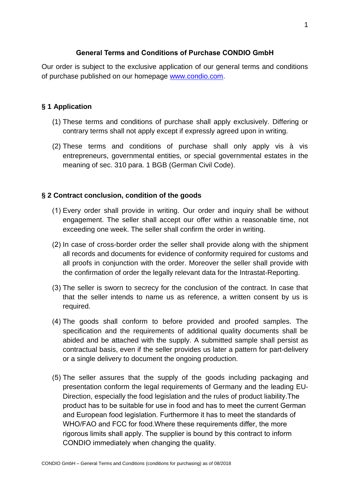# **General Terms and Conditions of Purchase CONDIO GmbH**

Our order is subject to the exclusive application of our general terms and conditions of purchase published on our homepage [www.condio.com.](http://www.condio.com/)

# **§ 1 Application**

- (1) These terms and conditions of purchase shall apply exclusively. Differing or contrary terms shall not apply except if expressly agreed upon in writing.
- (2) These terms and conditions of purchase shall only apply vis à vis entrepreneurs, governmental entities, or special governmental estates in the meaning of sec. 310 para. 1 BGB (German Civil Code).

# **§ 2 Contract conclusion, condition of the goods**

- (1) Every order shall provide in writing. Our order and inquiry shall be without engagement. The seller shall accept our offer within a reasonable time, not exceeding one week. The seller shall confirm the order in writing.
- (2) In case of cross-border order the seller shall provide along with the shipment all records and documents for evidence of conformity required for customs and all proofs in conjunction with the order. Moreover the seller shall provide with the confirmation of order the legally relevant data for the Intrastat-Reporting.
- (3) The seller is sworn to secrecy for the conclusion of the contract. In case that that the seller intends to name us as reference, a written consent by us is required.
- (4) The goods shall conform to before provided and proofed samples. The specification and the requirements of additional quality documents shall be abided and be attached with the supply. A submitted sample shall persist as contractual basis, even if the seller provides us later a pattern for part-delivery or a single delivery to document the ongoing production.
- (5) The seller assures that the supply of the goods including packaging and presentation conform the legal requirements of Germany and the leading EU-Direction, especially the food legislation and the rules of product liability.The product has to be suitable for use in food and has to meet the current German and European food legislation. Furthermore it has to meet the standards of WHO/FAO and FCC for food.Where these requirements differ, the more rigorous limits shall apply. The supplier is bound by this contract to inform CONDIO immediately when changing the quality.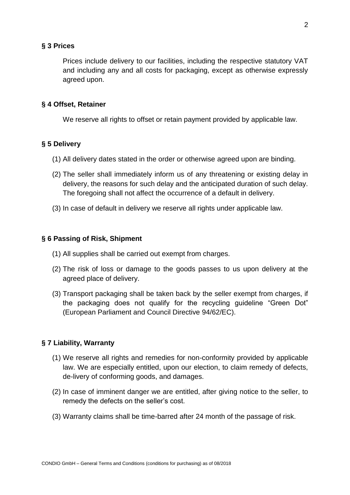### **§ 3 Prices**

Prices include delivery to our facilities, including the respective statutory VAT and including any and all costs for packaging, except as otherwise expressly agreed upon.

### **§ 4 Offset, Retainer**

We reserve all rights to offset or retain payment provided by applicable law.

## **§ 5 Delivery**

- (1) All delivery dates stated in the order or otherwise agreed upon are binding.
- (2) The seller shall immediately inform us of any threatening or existing delay in delivery, the reasons for such delay and the anticipated duration of such delay. The foregoing shall not affect the occurrence of a default in delivery.
- (3) In case of default in delivery we reserve all rights under applicable law.

### **§ 6 Passing of Risk, Shipment**

- (1) All supplies shall be carried out exempt from charges.
- (2) The risk of loss or damage to the goods passes to us upon delivery at the agreed place of delivery.
- (3) Transport packaging shall be taken back by the seller exempt from charges, if the packaging does not qualify for the recycling guideline "Green Dot" (European Parliament and Council Directive 94/62/EC).

## **§ 7 Liability, Warranty**

- (1) We reserve all rights and remedies for non-conformity provided by applicable law. We are especially entitled, upon our election, to claim remedy of defects, de-livery of conforming goods, and damages.
- (2) In case of imminent danger we are entitled, after giving notice to the seller, to remedy the defects on the seller's cost.
- (3) Warranty claims shall be time-barred after 24 month of the passage of risk.